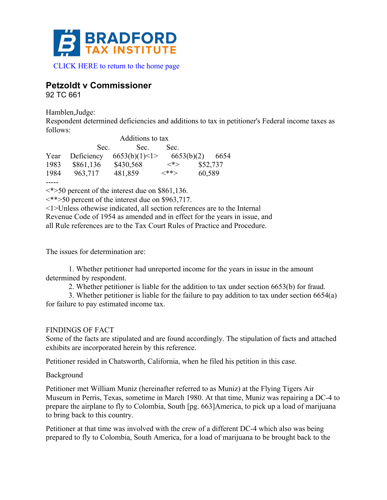

# **Petzoldt v Commissioner**

92 TC 661

Hamblen,Judge:

Respondent determined deficiencies and additions to tax in petitioner's Federal income taxes as follows:

|      | Additions to tax |                 |            |            |      |
|------|------------------|-----------------|------------|------------|------|
|      | Sec.             | Sec -           | Sec-       |            |      |
| Year | Deficiency       | 6653(b)(1) < 1> |            | 6653(b)(2) | 6654 |
| 1983 | \$861,136        | \$430,568       | $<^*>$     | \$52,737   |      |
| 1984 | 963,717          | 481,859         | $<$ ** $>$ | 60,589     |      |

-----

<\*>50 percent of the interest due on \$861,136.

 $\langle$  \*\*>50 percent of the interest due on \$963,717.

<1>Unless othewise indicated, all section references are to the Internal Revenue Code of 1954 as amended and in effect for the years in issue, and all Rule references are to the Tax Court Rules of Practice and Procedure.

The issues for determination are:

1. Whether petitioner had unreported income for the years in issue in the amount determined by respondent.

2. Whether petitioner is liable for the addition to tax under section 6653(b) for fraud.

3. Whether petitioner is liable for the failure to pay addition to tax under section 6654(a) for failure to pay estimated income tax.

## FINDINGS OF FACT

Some of the facts are stipulated and are found accordingly. The stipulation of facts and attached exhibits are incorporated herein by this reference.

Petitioner resided in Chatsworth, California, when he filed his petition in this case.

## Background

Petitioner met William Muniz (hereinafter referred to as Muniz) at the Flying Tigers Air Museum in Perris, Texas, sometime in March 1980. At that time, Muniz was repairing a DC-4 to prepare the airplane to fly to Colombia, South [pg. 663]America, to pick up a load of marijuana to bring back to this country.

Petitioner at that time was involved with the crew of a different DC-4 which also was being prepared to fly to Colombia, South America, for a load of marijuana to be brought back to the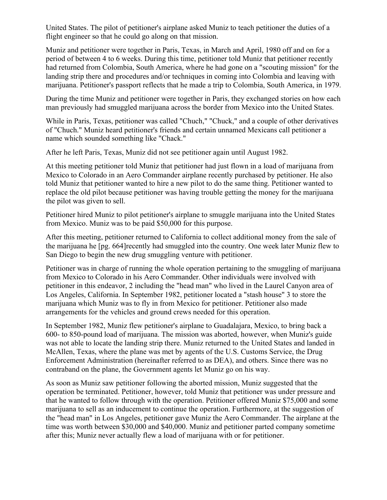United States. The pilot of petitioner's airplane asked Muniz to teach petitioner the duties of a flight engineer so that he could go along on that mission.

Muniz and petitioner were together in Paris, Texas, in March and April, 1980 off and on for a period of between 4 to 6 weeks. During this time, petitioner told Muniz that petitioner recently had returned from Colombia, South America, where he had gone on a "scouting mission" for the landing strip there and procedures and/or techniques in coming into Colombia and leaving with marijuana. Petitioner's passport reflects that he made a trip to Colombia, South America, in 1979.

During the time Muniz and petitioner were together in Paris, they exchanged stories on how each man previously had smuggled marijuana across the border from Mexico into the United States.

While in Paris, Texas, petitioner was called "Chuch," "Chuck," and a couple of other derivatives of "Chuch." Muniz heard petitioner's friends and certain unnamed Mexicans call petitioner a name which sounded something like "Chack."

After he left Paris, Texas, Muniz did not see petitioner again until August 1982.

At this meeting petitioner told Muniz that petitioner had just flown in a load of marijuana from Mexico to Colorado in an Aero Commander airplane recently purchased by petitioner. He also told Muniz that petitioner wanted to hire a new pilot to do the same thing. Petitioner wanted to replace the old pilot because petitioner was having trouble getting the money for the marijuana the pilot was given to sell.

Petitioner hired Muniz to pilot petitioner's airplane to smuggle marijuana into the United States from Mexico. Muniz was to be paid \$50,000 for this purpose.

After this meeting, petitioner returned to California to collect additional money from the sale of the marijuana he [pg. 664]recently had smuggled into the country. One week later Muniz flew to San Diego to begin the new drug smuggling venture with petitioner.

Petitioner was in charge of running the whole operation pertaining to the smuggling of marijuana from Mexico to Colorado in his Aero Commander. Other individuals were involved with petitioner in this endeavor, 2 including the "head man" who lived in the Laurel Canyon area of Los Angeles, California. In September 1982, petitioner located a "stash house" 3 to store the marijuana which Muniz was to fly in from Mexico for petitioner. Petitioner also made arrangements for the vehicles and ground crews needed for this operation.

In September 1982, Muniz flew petitioner's airplane to Guadalajara, Mexico, to bring back a 600- to 850-pound load of marijuana. The mission was aborted, however, when Muniz's guide was not able to locate the landing strip there. Muniz returned to the United States and landed in McAllen, Texas, where the plane was met by agents of the U.S. Customs Service, the Drug Enforcement Administration (hereinafter referred to as DEA), and others. Since there was no contraband on the plane, the Government agents let Muniz go on his way.

As soon as Muniz saw petitioner following the aborted mission, Muniz suggested that the operation be terminated. Petitioner, however, told Muniz that petitioner was under pressure and that he wanted to follow through with the operation. Petitioner offered Muniz \$75,000 and some marijuana to sell as an inducement to continue the operation. Furthermore, at the suggestion of the "head man" in Los Angeles, petitioner gave Muniz the Aero Commander. The airplane at the time was worth between \$30,000 and \$40,000. Muniz and petitioner parted company sometime after this; Muniz never actually flew a load of marijuana with or for petitioner.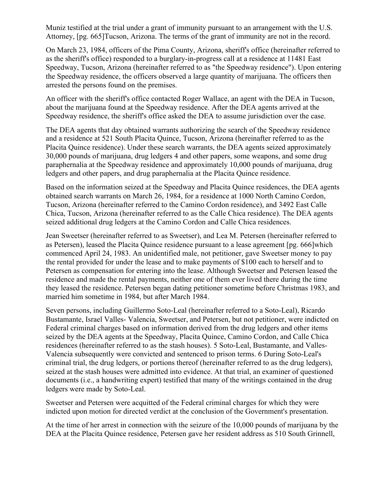Muniz testified at the trial under a grant of immunity pursuant to an arrangement with the U.S. Attorney, [pg. 665]Tucson, Arizona. The terms of the grant of immunity are not in the record.

On March 23, 1984, officers of the Pima County, Arizona, sheriff's office (hereinafter referred to as the sheriff's office) responded to a burglary-in-progress call at a residence at 11481 East Speedway, Tucson, Arizona (hereinafter referred to as "the Speedway residence"). Upon entering the Speedway residence, the officers observed a large quantity of marijuana. The officers then arrested the persons found on the premises.

An officer with the sheriff's office contacted Roger Wallace, an agent with the DEA in Tucson, about the marijuana found at the Speedway residence. After the DEA agents arrived at the Speedway residence, the sheriff's office asked the DEA to assume jurisdiction over the case.

The DEA agents that day obtained warrants authorizing the search of the Speedway residence and a residence at 521 South Placita Quince, Tucson, Arizona (hereinafter referred to as the Placita Quince residence). Under these search warrants, the DEA agents seized approximately 30,000 pounds of marijuana, drug ledgers 4 and other papers, some weapons, and some drug paraphernalia at the Speedway residence and approximately 10,000 pounds of marijuana, drug ledgers and other papers, and drug paraphernalia at the Placita Quince residence.

Based on the information seized at the Speedway and Placita Quince residences, the DEA agents obtained search warrants on March 26, 1984, for a residence at 1000 North Camino Cordon, Tucson, Arizona (hereinafter referred to the Camino Cordon residence), and 3492 East Calle Chica, Tucson, Arizona (hereinafter referred to as the Calle Chica residence). The DEA agents seized additional drug ledgers at the Camino Cordon and Calle Chica residences.

Jean Sweetser (hereinafter referred to as Sweetser), and Lea M. Petersen (hereinafter referred to as Petersen), leased the Placita Quince residence pursuant to a lease agreement [pg. 666]which commenced April 24, 1983. An unidentified male, not petitioner, gave Sweetser money to pay the rental provided for under the lease and to make payments of \$100 each to herself and to Petersen as compensation for entering into the lease. Although Sweetser and Petersen leased the residence and made the rental payments, neither one of them ever lived there during the time they leased the residence. Petersen began dating petitioner sometime before Christmas 1983, and married him sometime in 1984, but after March 1984.

Seven persons, including Guillermo Soto-Leal (hereinafter referred to a Soto-Leal), Ricardo Bustamante, Israel Valles- Valencia, Sweetser, and Petersen, but not petitioner, were indicted on Federal criminal charges based on information derived from the drug ledgers and other items seized by the DEA agents at the Speedway, Placita Quince, Camino Cordon, and Calle Chica residences (hereinafter referred to as the stash houses). 5 Soto-Leal, Bustamante, and Valles-Valencia subsequently were convicted and sentenced to prison terms. 6 During Soto-Leal's criminal trial, the drug ledgers, or portions thereof (hereinafter referred to as the drug ledgers), seized at the stash houses were admitted into evidence. At that trial, an examiner of questioned documents (i.e., a handwriting expert) testified that many of the writings contained in the drug ledgers were made by Soto-Leal.

Sweetser and Petersen were acquitted of the Federal criminal charges for which they were indicted upon motion for directed verdict at the conclusion of the Government's presentation.

At the time of her arrest in connection with the seizure of the 10,000 pounds of marijuana by the DEA at the Placita Quince residence, Petersen gave her resident address as 510 South Grinnell,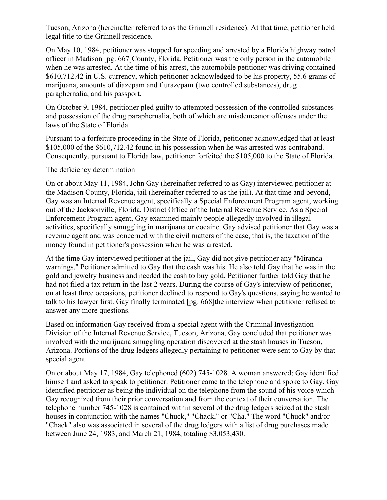Tucson, Arizona (hereinafter referred to as the Grinnell residence). At that time, petitioner held legal title to the Grinnell residence.

On May 10, 1984, petitioner was stopped for speeding and arrested by a Florida highway patrol officer in Madison [pg. 667]County, Florida. Petitioner was the only person in the automobile when he was arrested. At the time of his arrest, the automobile petitioner was driving contained \$610,712.42 in U.S. currency, which petitioner acknowledged to be his property, 55.6 grams of marijuana, amounts of diazepam and flurazepam (two controlled substances), drug paraphernalia, and his passport.

On October 9, 1984, petitioner pled guilty to attempted possession of the controlled substances and possession of the drug paraphernalia, both of which are misdemeanor offenses under the laws of the State of Florida.

Pursuant to a forfeiture proceeding in the State of Florida, petitioner acknowledged that at least \$105,000 of the \$610,712.42 found in his possession when he was arrested was contraband. Consequently, pursuant to Florida law, petitioner forfeited the \$105,000 to the State of Florida.

## The deficiency determination

On or about May 11, 1984, John Gay (hereinafter referred to as Gay) interviewed petitioner at the Madison County, Florida, jail (hereinafter referred to as the jail). At that time and beyond, Gay was an Internal Revenue agent, specifically a Special Enforcement Program agent, working out of the Jacksonville, Florida, District Office of the Internal Revenue Service. As a Special Enforcement Program agent, Gay examined mainly people allegedly involved in illegal activities, specifically smuggling in marijuana or cocaine. Gay advised petitioner that Gay was a revenue agent and was concerned with the civil matters of the case, that is, the taxation of the money found in petitioner's possession when he was arrested.

At the time Gay interviewed petitioner at the jail, Gay did not give petitioner any "Miranda warnings." Petitioner admitted to Gay that the cash was his. He also told Gay that he was in the gold and jewelry business and needed the cash to buy gold. Petitioner further told Gay that he had not filed a tax return in the last 2 years. During the course of Gay's interview of petitioner, on at least three occasions, petitioner declined to respond to Gay's questions, saying he wanted to talk to his lawyer first. Gay finally terminated [pg. 668]the interview when petitioner refused to answer any more questions.

Based on information Gay received from a special agent with the Criminal Investigation Division of the Internal Revenue Service, Tucson, Arizona, Gay concluded that petitioner was involved with the marijuana smuggling operation discovered at the stash houses in Tucson, Arizona. Portions of the drug ledgers allegedly pertaining to petitioner were sent to Gay by that special agent.

On or about May 17, 1984, Gay telephoned (602) 745-1028. A woman answered; Gay identified himself and asked to speak to petitioner. Petitioner came to the telephone and spoke to Gay. Gay identified petitioner as being the individual on the telephone from the sound of his voice which Gay recognized from their prior conversation and from the context of their conversation. The telephone number 745-1028 is contained within several of the drug ledgers seized at the stash houses in conjunction with the names "Chuck," "Chack," or "Cha." The word "Chuck" and/or "Chack" also was associated in several of the drug ledgers with a list of drug purchases made between June 24, 1983, and March 21, 1984, totaling \$3,053,430.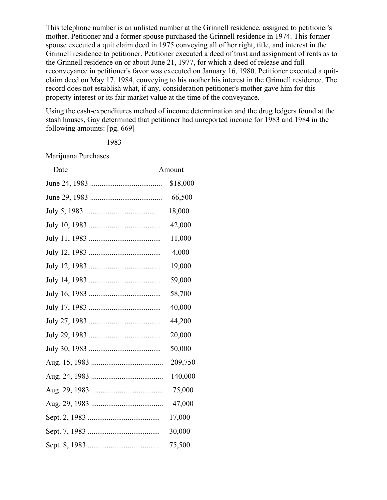This telephone number is an unlisted number at the Grinnell residence, assigned to petitioner's mother. Petitioner and a former spouse purchased the Grinnell residence in 1974. This former spouse executed a quit claim deed in 1975 conveying all of her right, title, and interest in the Grinnell residence to petitioner. Petitioner executed a deed of trust and assignment of rents as to the Grinnell residence on or about June 21, 1977, for which a deed of release and full reconveyance in petitioner's favor was executed on January 16, 1980. Petitioner executed a quitclaim deed on May 17, 1984, conveying to his mother his interest in the Grinnell residence. The record does not establish what, if any, consideration petitioner's mother gave him for this property interest or its fair market value at the time of the conveyance.

Using the cash-expenditures method of income determination and the drug ledgers found at the stash houses, Gay determined that petitioner had unreported income for 1983 and 1984 in the following amounts: [pg. 669]

1983

Marijuana Purchases

| Date | Amount   |
|------|----------|
|      | \$18,000 |
|      | 66,500   |
|      | 18,000   |
|      | 42,000   |
|      | 11,000   |
|      | 4,000    |
|      | 19,000   |
|      | 59,000   |
|      | 58,700   |
|      | 40,000   |
|      | 44,200   |
|      | 20,000   |
|      | 50,000   |
|      | 209,750  |
|      | 140,000  |
|      | 75,000   |
|      | 47,000   |
|      | 17,000   |
|      | 30,000   |
|      | 75,500   |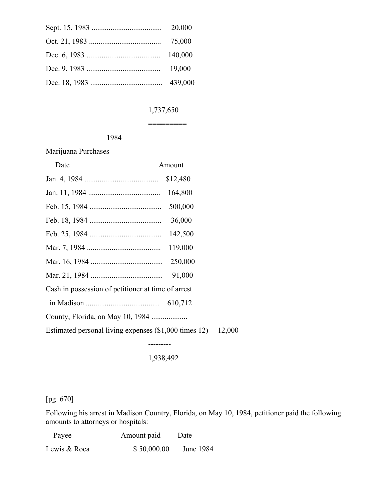| 439,000 |
|---------|
| 19,000  |
| 140,000 |
| 75,000  |
| 20,000  |

1,737,650

=========

## 1984

Marijuana Purchases

| Date                                                  | Amount   |
|-------------------------------------------------------|----------|
|                                                       | \$12,480 |
|                                                       | 164,800  |
|                                                       | 500,000  |
|                                                       | 36,000   |
|                                                       |          |
|                                                       |          |
|                                                       | 250,000  |
|                                                       | 91,000   |
| Cash in possession of petitioner at time of arrest    |          |
|                                                       |          |
| County, Florida, on May 10, 1984                      |          |
| Estimated personal living expenses (\$1,000 times 12) | 12,000   |
|                                                       |          |

 --------- 1,938,492

=========

[pg. 670]

Following his arrest in Madison Country, Florida, on May 10, 1984, petitioner paid the following amounts to attorneys or hospitals:

| Payee        | Amount paid | Date      |
|--------------|-------------|-----------|
| Lewis & Roca | \$50,000.00 | June 1984 |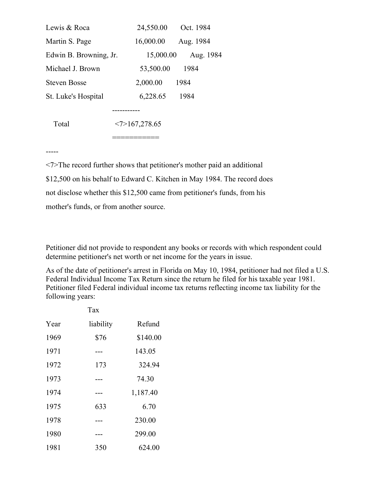| Lewis & Roca           | 24,550.00     | Oct. 1984 |
|------------------------|---------------|-----------|
| Martin S. Page         | 16,000.00     | Aug. 1984 |
| Edwin B. Browning, Jr. | 15,000.00     | Aug. 1984 |
| Michael J. Brown       | 53,500.00     | 1984      |
| <b>Steven Bosse</b>    | 2,000.00      | 1984      |
| St. Luke's Hospital    | 6,228.65      | 1984      |
|                        |               |           |
| Total                  | <7>167,278.65 |           |
|                        |               |           |

-----

<7>The record further shows that petitioner's mother paid an additional \$12,500 on his behalf to Edward C. Kitchen in May 1984. The record does

not disclose whether this \$12,500 came from petitioner's funds, from his

mother's funds, or from another source.

Petitioner did not provide to respondent any books or records with which respondent could determine petitioner's net worth or net income for the years in issue.

As of the date of petitioner's arrest in Florida on May 10, 1984, petitioner had not filed a U.S. Federal Individual Income Tax Return since the return he filed for his taxable year 1981. Petitioner filed Federal individual income tax returns reflecting income tax liability for the following years:

|      | Tax       |          |
|------|-----------|----------|
| Year | liability | Refund   |
| 1969 | \$76      | \$140.00 |
| 1971 |           | 143.05   |
| 1972 | 173       | 324.94   |
| 1973 |           | 74.30    |
| 1974 | ---       | 1,187.40 |
| 1975 | 633       | 6.70     |
| 1978 |           | 230.00   |
| 1980 |           | 299.00   |
| 1981 | 350       | 624.00   |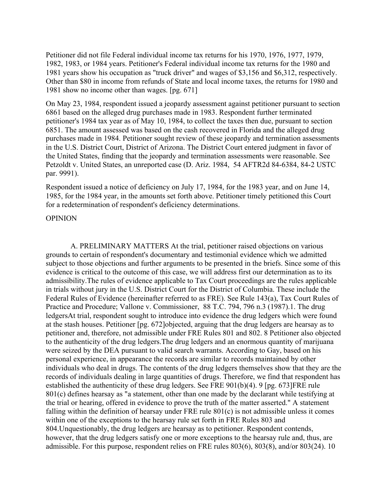Petitioner did not file Federal individual income tax returns for his 1970, 1976, 1977, 1979, 1982, 1983, or 1984 years. Petitioner's Federal individual income tax returns for the 1980 and 1981 years show his occupation as "truck driver" and wages of \$3,156 and \$6,312, respectively. Other than \$80 in income from refunds of State and local income taxes, the returns for 1980 and 1981 show no income other than wages. [pg. 671]

On May 23, 1984, respondent issued a jeopardy assessment against petitioner pursuant to section 6861 based on the alleged drug purchases made in 1983. Respondent further terminated petitioner's 1984 tax year as of May 10, 1984, to collect the taxes then due, pursuant to section 6851. The amount assessed was based on the cash recovered in Florida and the alleged drug purchases made in 1984. Petitioner sought review of these jeopardy and termination assessments in the U.S. District Court, District of Arizona. The District Court entered judgment in favor of the United States, finding that the jeopardy and termination assessments were reasonable. See Petzoldt v. United States, an unreported case (D. Ariz. 1984, 54 AFTR2d 84-6384, 84-2 USTC par. 9991).

Respondent issued a notice of deficiency on July 17, 1984, for the 1983 year, and on June 14, 1985, for the 1984 year, in the amounts set forth above. Petitioner timely petitioned this Court for a redetermination of respondent's deficiency determinations.

#### OPINION

A. PRELIMINARY MATTERS At the trial, petitioner raised objections on various grounds to certain of respondent's documentary and testimonial evidence which we admitted subject to those objections and further arguments to be presented in the briefs. Since some of this evidence is critical to the outcome of this case, we will address first our determination as to its admissibility.The rules of evidence applicable to Tax Court proceedings are the rules applicable in trials without jury in the U.S. District Court for the District of Columbia. These include the Federal Rules of Evidence (hereinafter referred to as FRE). See Rule 143(a), Tax Court Rules of Practice and Procedure; Vallone v. Commissioner, 88 T.C. 794, 796 n.3 (1987).1. The drug ledgersAt trial, respondent sought to introduce into evidence the drug ledgers which were found at the stash houses. Petitioner [pg. 672]objected, arguing that the drug ledgers are hearsay as to petitioner and, therefore, not admissible under FRE Rules 801 and 802. 8 Petitioner also objected to the authenticity of the drug ledgers.The drug ledgers and an enormous quantity of marijuana were seized by the DEA pursuant to valid search warrants. According to Gay, based on his personal experience, in appearance the records are similar to records maintained by other individuals who deal in drugs. The contents of the drug ledgers themselves show that they are the records of individuals dealing in large quantities of drugs. Therefore, we find that respondent has established the authenticity of these drug ledgers. See FRE 901(b)(4). 9 [pg. 673]FRE rule 801(c) defines hearsay as "a statement, other than one made by the declarant while testifying at the trial or hearing, offered in evidence to prove the truth of the matter asserted." A statement falling within the definition of hearsay under FRE rule 801(c) is not admissible unless it comes within one of the exceptions to the hearsay rule set forth in FRE Rules 803 and 804.Unquestionably, the drug ledgers are hearsay as to petitioner. Respondent contends, however, that the drug ledgers satisfy one or more exceptions to the hearsay rule and, thus, are admissible. For this purpose, respondent relies on FRE rules 803(6), 803(8), and/or 803(24). 10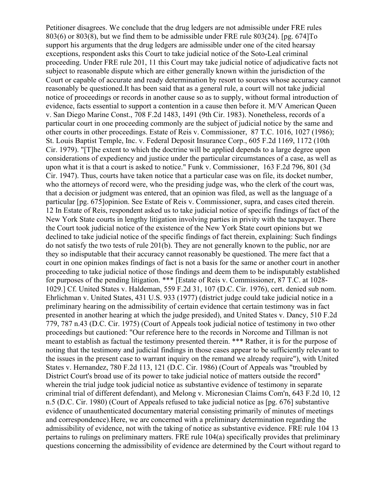Petitioner disagrees. We conclude that the drug ledgers are not admissible under FRE rules 803(6) or 803(8), but we find them to be admissible under FRE rule 803(24). [pg. 674]To support his arguments that the drug ledgers are admissible under one of the cited hearsay exceptions, respondent asks this Court to take judicial notice of the Soto-Leal criminal proceeding. Under FRE rule 201, 11 this Court may take judicial notice of adjudicative facts not subject to reasonable dispute which are either generally known within the jurisdiction of the Court or capable of accurate and ready determination by resort to sources whose accuracy cannot reasonably be questioned.It has been said that as a general rule, a court will not take judicial notice of proceedings or records in another cause so as to supply, without formal introduction of evidence, facts essential to support a contention in a cause then before it. M/V American Queen v. San Diego Marine Const., 708 F.2d 1483, 1491 (9th Cir. 1983). Nonetheless, records of a particular court in one proceeding commonly are the subject of judicial notice by the same and other courts in other proceedings. Estate of Reis v. Commissioner, 87 T.C. 1016, 1027 (1986); St. Louis Baptist Temple, Inc. v. Federal Deposit Insurance Corp., 605 F.2d 1169, 1172 (10th Cir. 1979). "[T]he extent to which the doctrine will be applied depends to a large degree upon considerations of expediency and justice under the particular circumstances of a case, as well as upon what it is that a court is asked to notice." Funk v. Commissioner, 163 F.2d 796, 801 (3d Cir. 1947). Thus, courts have taken notice that a particular case was on file, its docket number, who the attorneys of record were, who the presiding judge was, who the clerk of the court was, that a decision or judgment was entered, that an opinion was filed, as well as the language of a particular [pg. 675]opinion. See Estate of Reis v. Commissioner, supra, and cases cited therein. 12 In Estate of Reis, respondent asked us to take judicial notice of specific findings of fact of the New York State courts in lengthy litigation involving parties in privity with the taxpayer. There the Court took judicial notice of the existence of the New York State court opinions but we declined to take judicial notice of the specific findings of fact therein, explaining: Such findings do not satisfy the two tests of rule 201(b). They are not generally known to the public, nor are they so indisputable that their accuracy cannot reasonably be questioned. The mere fact that a court in one opinion makes findings of fact is not a basis for the same or another court in another proceeding to take judicial notice of those findings and deem them to be indisputably established for purposes of the pending litigation. \*\*\* [Estate of Reis v. Commissioner, 87 T.C. at 1028- 1029.] Cf. United States v. Haldeman, 559 F.2d 31, 107 (D.C. Cir. 1976), cert. denied sub nom. Ehrlichman v. United States, 431 U.S. 933 (1977) (district judge could take judicial notice in a preliminary hearing on the admissibility of certain evidence that certain testimony was in fact presented in another hearing at which the judge presided), and United States v. Dancy, 510 F.2d 779, 787 n.43 (D.C. Cir. 1975) (Court of Appeals took judicial notice of testimony in two other proceedings but cautioned: "Our reference here to the records in Norcome and Tillman is not meant to establish as factual the testimony presented therein. \*\*\* Rather, it is for the purpose of noting that the testimony and judicial findings in those cases appear to be sufficiently relevant to the issues in the present case to warrant inquiry on the remand we already require"), with United States v. Hernandez, 780 F.2d 113, 121 (D.C. Cir. 1986) (Court of Appeals was "troubled by District Court's broad use of its power to take judicial notice of matters outside the record" wherein the trial judge took judicial notice as substantive evidence of testimony in separate criminal trial of different defendant), and Melong v. Micronesian Claims Com'n, 643 F.2d 10, 12 n.5 (D.C. Cir. 1980) (Court of Appeals refused to take judicial notice as [pg. 676] substantive evidence of unauthenticated documentary material consisting primarily of minutes of meetings and correspondence).Here, we are concerned with a preliminary determination regarding the admissibility of evidence, not with the taking of notice as substantive evidence. FRE rule 104 13 pertains to rulings on preliminary matters. FRE rule 104(a) specifically provides that preliminary questions concerning the admissibility of evidence are determined by the Court without regard to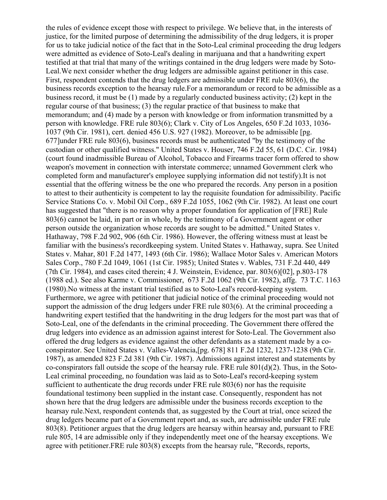the rules of evidence except those with respect to privilege. We believe that, in the interests of justice, for the limited purpose of determining the admissibility of the drug ledgers, it is proper for us to take judicial notice of the fact that in the Soto-Leal criminal proceeding the drug ledgers were admitted as evidence of Soto-Leal's dealing in marijuana and that a handwriting expert testified at that trial that many of the writings contained in the drug ledgers were made by Soto-Leal.We next consider whether the drug ledgers are admissible against petitioner in this case. First, respondent contends that the drug ledgers are admissible under FRE rule 803(6), the business records exception to the hearsay rule.For a memorandum or record to be admissible as a business record, it must be (1) made by a regularly conducted business activity; (2) kept in the regular course of that business; (3) the regular practice of that business to make that memorandum; and (4) made by a person with knowledge or from information transmitted by a person with knowledge. FRE rule 803(6); Clark v. City of Los Angeles, 650 F.2d 1033, 1036- 1037 (9th Cir. 1981), cert. denied 456 U.S. 927 (1982). Moreover, to be admissible [pg. 677]under FRE rule 803(6), business records must be authenticated "by the testimony of the custodian or other qualified witness." United States v. Houser, 746 F.2d 55, 61 (D.C. Cir. 1984) (court found inadmissible Bureau of Alcohol, Tobacco and Firearms tracer form offered to show weapon's movement in connection with interstate commerce; unnamed Government clerk who completed form and manufacturer's employee supplying information did not testify).It is not essential that the offering witness be the one who prepared the records. Any person in a position to attest to their authenticity is competent to lay the requisite foundation for admissibility. Pacific Service Stations Co. v. Mobil Oil Corp., 689 F.2d 1055, 1062 (9th Cir. 1982). At least one court has suggested that "there is no reason why a proper foundation for application of [FRE] Rule 803(6) cannot be laid, in part or in whole, by the testimony of a Government agent or other person outside the organization whose records are sought to be admitted." United States v. Hathaway, 798 F.2d 902, 906 (6th Cir. 1986). However, the offering witness must at least be familiar with the business's recordkeeping system. United States v. Hathaway, supra. See United States v. Mahar, 801 F.2d 1477, 1493 (6th Cir. 1986); Wallace Motor Sales v. American Motors Sales Corp., 780 F.2d 1049, 1061 (1st Cir. 1985); United States v. Wables, 731 F.2d 440, 449 (7th Cir. 1984), and cases cited therein; 4 J. Weinstein, Evidence, par. 803(6)[02], p.803-178 (1988 ed.). See also Karme v. Commissioner, 673 F.2d 1062 (9th Cir. 1982), affg. 73 T.C. 1163 (1980).No witness at the instant trial testified as to Soto-Leal's record-keeping system. Furthermore, we agree with petitioner that judicial notice of the criminal proceeding would not support the admission of the drug ledgers under FRE rule 803(6). At the criminal proceeding a handwriting expert testified that the handwriting in the drug ledgers for the most part was that of Soto-Leal, one of the defendants in the criminal proceeding. The Government there offered the drug ledgers into evidence as an admission against interest for Soto-Leal. The Government also offered the drug ledgers as evidence against the other defendants as a statement made by a coconspirator. See United States v. Valles-Valencia,[pg. 678] 811 F.2d 1232, 1237-1238 (9th Cir. 1987), as amended 823 F.2d 381 (9th Cir. 1987). Admissions against interest and statements by co-conspirators fall outside the scope of the hearsay rule. FRE rule  $801(d)(2)$ . Thus, in the Soto-Leal criminal proceeding, no foundation was laid as to Soto-Leal's record-keeping system sufficient to authenticate the drug records under FRE rule 803(6) nor has the requisite foundational testimony been supplied in the instant case. Consequently, respondent has not shown here that the drug ledgers are admissible under the business records exception to the hearsay rule.Next, respondent contends that, as suggested by the Court at trial, once seized the drug ledgers became part of a Government report and, as such, are admissible under FRE rule 803(8). Petitioner argues that the drug ledgers are hearsay within hearsay and, pursuant to FRE rule 805, 14 are admissible only if they independently meet one of the hearsay exceptions. We agree with petitioner.FRE rule 803(8) excepts from the hearsay rule, "Records, reports,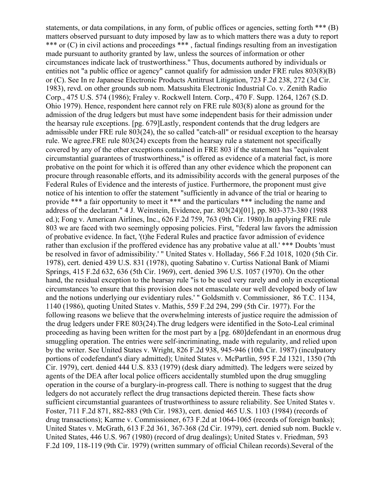statements, or data compilations, in any form, of public offices or agencies, setting forth \*\*\* (B) matters observed pursuant to duty imposed by law as to which matters there was a duty to report \*\*\* or (C) in civil actions and proceedings \*\*\*, factual findings resulting from an investigation made pursuant to authority granted by law, unless the sources of information or other circumstances indicate lack of trustworthiness." Thus, documents authored by individuals or entities not "a public office or agency" cannot qualify for admission under FRE rules 803(8)(B) or (C). See In re Japanese Electronic Products Antitrust Litigation, 723 F.2d 238, 272 (3d Cir. 1983), revd. on other grounds sub nom. Matsushita Electronic Industrial Co. v. Zenith Radio Corp., 475 U.S. 574 (1986); Fraley v. Rockwell Intern. Corp., 470 F. Supp. 1264, 1267 (S.D. Ohio 1979). Hence, respondent here cannot rely on FRE rule 803(8) alone as ground for the admission of the drug ledgers but must have some independent basis for their admission under the hearsay rule exceptions. [pg. 679]Lastly, respondent contends that the drug ledgers are admissible under FRE rule 803(24), the so called "catch-all" or residual exception to the hearsay rule. We agree.FRE rule 803(24) excepts from the hearsay rule a statement not specifically covered by any of the other exceptions contained in FRE 803 if the statement has "equivalent circumstantial guarantees of trustworthiness," is offered as evidence of a material fact, is more probative on the point for which it is offered than any other evidence which the proponent can procure through reasonable efforts, and its admissibility accords with the general purposes of the Federal Rules of Evidence and the interests of justice. Furthermore, the proponent must give notice of his intention to offer the statement "sufficiently in advance of the trial or hearing to provide \*\*\* a fair opportunity to meet it \*\*\* and the particulars \*\*\* including the name and address of the declarant." 4 J. Weinstein, Evidence, par. 803(24)[01], pp. 803-373-380 (1988 ed.); Fong v. American Airlines, Inc., 626 F.2d 759, 763 (9th Cir. 1980).In applying FRE rule 803 we are faced with two seemingly opposing policies. First, "federal law favors the admission of probative evidence. In fact, '(t)he Federal Rules and practice favor admission of evidence rather than exclusion if the proffered evidence has any probative value at all.' \*\*\* Doubts 'must be resolved in favor of admissibility.' " United States v. Holladay, 566 F.2d 1018, 1020 (5th Cir. 1978), cert. denied 439 U.S. 831 (1978), quoting Sabatino v. Curtiss National Bank of Miami Springs, 415 F.2d 632, 636 (5th Cir. 1969), cert. denied 396 U.S. 1057 (1970). On the other hand, the residual exception to the hearsay rule "is to be used very rarely and only in exceptional circumstances 'to ensure that this provision does not emasculate our well developed body of law and the notions underlying our evidentiary rules.' " Goldsmith v. Commissioner, 86 T.C. 1134, 1140 (1986), quoting United States v. Mathis, 559 F.2d 294, 299 (5th Cir. 1977). For the following reasons we believe that the overwhelming interests of justice require the admission of the drug ledgers under FRE 803(24).The drug ledgers were identified in the Soto-Leal criminal proceeding as having been written for the most part by a [pg. 680]defendant in an enormous drug smuggling operation. The entries were self-incriminating, made with regularity, and relied upon by the writer. See United States v. Wright, 826 F.2d 938, 945-946 (10th Cir. 1987) (inculpatory portions of codefendant's diary admitted); United States v. McPartlin, 595 F.2d 1321, 1350 (7th Cir. 1979), cert. denied 444 U.S. 833 (1979) (desk diary admitted). The ledgers were seized by agents of the DEA after local police officers accidentally stumbled upon the drug smuggling operation in the course of a burglary-in-progress call. There is nothing to suggest that the drug ledgers do not accurately reflect the drug transactions depicted therein. These facts show sufficient circumstantial guarantees of trustworthiness to assure reliability. See United States v. Foster, 711 F.2d 871, 882-883 (9th Cir. 1983), cert. denied 465 U.S. 1103 (1984) (records of drug transactions); Karme v. Commissioner, 673 F.2d at 1064-1065 (records of foreign banks); United States v. McGrath, 613 F.2d 361, 367-368 (2d Cir. 1979), cert. denied sub nom. Buckle v. United States, 446 U.S. 967 (1980) (record of drug dealings); United States v. Friedman, 593 F.2d 109, 118-119 (9th Cir. 1979) (written summary of official Chilean records).Several of the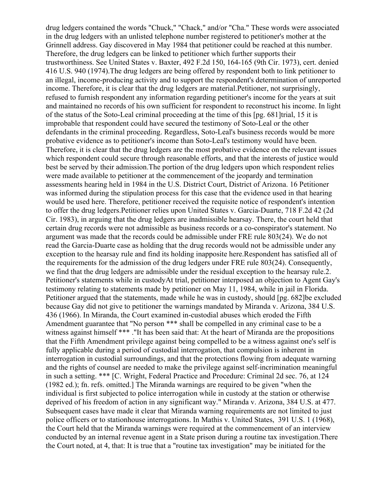drug ledgers contained the words "Chuck," "Chack," and/or "Cha." These words were associated in the drug ledgers with an unlisted telephone number registered to petitioner's mother at the Grinnell address. Gay discovered in May 1984 that petitioner could be reached at this number. Therefore, the drug ledgers can be linked to petitioner which further supports their trustworthiness. See United States v. Baxter, 492 F.2d 150, 164-165 (9th Cir. 1973), cert. denied 416 U.S. 940 (1974).The drug ledgers are being offered by respondent both to link petitioner to an illegal, income-producing activity and to support the respondent's determination of unreported income. Therefore, it is clear that the drug ledgers are material.Petitioner, not surprisingly, refused to furnish respondent any information regarding petitioner's income for the years at suit and maintained no records of his own sufficient for respondent to reconstruct his income. In light of the status of the Soto-Leal criminal proceeding at the time of this [pg. 681]trial, 15 it is improbable that respondent could have secured the testimony of Soto-Leal or the other defendants in the criminal proceeding. Regardless, Soto-Leal's business records would be more probative evidence as to petitioner's income than Soto-Leal's testimony would have been. Therefore, it is clear that the drug ledgers are the most probative evidence on the relevant issues which respondent could secure through reasonable efforts, and that the interests of justice would best be served by their admission.The portion of the drug ledgers upon which respondent relies were made available to petitioner at the commencement of the jeopardy and termination assessments hearing held in 1984 in the U.S. District Court, District of Arizona. 16 Petitioner was informed during the stipulation process for this case that the evidence used in that hearing would be used here. Therefore, petitioner received the requisite notice of respondent's intention to offer the drug ledgers.Petitioner relies upon United States v. Garcia-Duarte, 718 F.2d 42 (2d Cir. 1983), in arguing that the drug ledgers are inadmissible hearsay. There, the court held that certain drug records were not admissible as business records or a co-conspirator's statement. No argument was made that the records could be admissible under FRE rule 803(24). We do not read the Garcia-Duarte case as holding that the drug records would not be admissible under any exception to the hearsay rule and find its holding inapposite here.Respondent has satisfied all of the requirements for the admission of the drug ledgers under FRE rule 803(24). Consequently, we find that the drug ledgers are admissible under the residual exception to the hearsay rule.2. Petitioner's statements while in custodyAt trial, petitioner interposed an objection to Agent Gay's testimony relating to statements made by petitioner on May 11, 1984, while in jail in Florida. Petitioner argued that the statements, made while he was in custody, should [pg. 682]be excluded because Gay did not give to petitioner the warnings mandated by Miranda v. Arizona, 384 U.S. 436 (1966). In Miranda, the Court examined in-custodial abuses which eroded the Fifth Amendment guarantee that "No person \*\*\* shall be compelled in any criminal case to be a witness against himself \*\*\* ."It has been said that: At the heart of Miranda are the propositions that the Fifth Amendment privilege against being compelled to be a witness against one's self is fully applicable during a period of custodial interrogation, that compulsion is inherent in interrogation in custodial surroundings, and that the protections flowing from adequate warning and the rights of counsel are needed to make the privilege against self-incrimination meaningful in such a setting. \*\*\* [C. Wright, Federal Practice and Procedure: Criminal 2d sec. 76, at 124 (1982 ed.); fn. refs. omitted.] The Miranda warnings are required to be given "when the individual is first subjected to police interrogation while in custody at the station or otherwise deprived of his freedom of action in any significant way." Miranda v. Arizona, 384 U.S. at 477. Subsequent cases have made it clear that Miranda warning requirements are not limited to just police officers or to stationhouse interrogations. In Mathis v. United States, 391 U.S. 1 (1968), the Court held that the Miranda warnings were required at the commencement of an interview conducted by an internal revenue agent in a State prison during a routine tax investigation.There the Court noted, at 4, that: It is true that a "routine tax investigation" may be initiated for the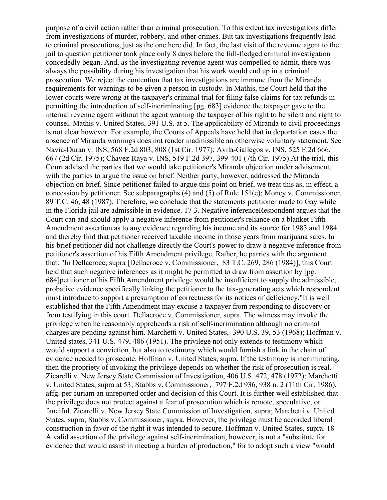purpose of a civil action rather than criminal prosecution. To this extent tax investigations differ from investigations of murder, robbery, and other crimes. But tax investigations frequently lead to criminal prosecutions, just as the one here did. In fact, the last visit of the revenue agent to the jail to question petitioner took place only 8 days before the full-fledged criminal investigation concededly began. And, as the investigating revenue agent was compelled to admit, there was always the possibility during his investigation that his work would end up in a criminal prosecution. We reject the contention that tax investigations are immune from the Miranda requirements for warnings to be given a person in custody. In Mathis, the Court held that the lower courts were wrong at the taxpayer's criminal trial for filing false claims for tax refunds in permitting the introduction of self-incriminating [pg. 683] evidence the taxpayer gave to the internal revenue agent without the agent warning the taxpayer of his right to be silent and right to counsel. Mathis v. United States, 391 U.S. at 5. The applicability of Miranda to civil proceedings is not clear however. For example, the Courts of Appeals have held that in deportation cases the absence of Miranda warnings does not render inadmissible an otherwise voluntary statement. See Navia-Duran v. INS, 568 F.2d 803, 808 (1st Cir. 1977); Avila-Gallegos v. INS, 525 F.2d 666, 667 (2d Cir. 1975); Chavez-Raya v. INS, 519 F.2d 397, 399-401 (7th Cir. 1975).At the trial, this Court advised the parties that we would take petitioner's Miranda objection under advisement, with the parties to argue the issue on brief. Neither party, however, addressed the Miranda objection on brief. Since petitioner failed to argue this point on brief, we treat this as, in effect, a concession by petitioner. See subparagraphs (4) and (5) of Rule 151(e); Money v. Commissioner, 89 T.C. 46, 48 (1987). Therefore, we conclude that the statements petitioner made to Gay while in the Florida jail are admissible in evidence. 17 3. Negative inferenceRespondent argues that the Court can and should apply a negative inference from petitioner's reliance on a blanket Fifth Amendment assertion as to any evidence regarding his income and its source for 1983 and 1984 and thereby find that petitioner received taxable income in those years from marijuana sales. In his brief petitioner did not challenge directly the Court's power to draw a negative inference from petitioner's assertion of his Fifth Amendment privilege. Rather, he parries with the argument that: "In Dellacroce, supra [Dellacroce v. Commissioner, 83 T.C. 269, 286 (1984)], this Court held that such negative inferences as it might be permitted to draw from assertion by [pg. 684]petitioner of his Fifth Amendment privilege would be insufficient to supply the admissible, probative evidence specifically linking the petitioner to the tax-generating acts which respondent must introduce to support a presumption of correctness for its notices of deficiency."It is well established that the Fifth Amendment may excuse a taxpayer from responding to discovery or from testifying in this court. Dellacroce v. Commissioner, supra. The witness may invoke the privilege when he reasonably apprehends a risk of self-incrimination although no criminal charges are pending against him. Marchetti v. United States, 390 U.S. 39, 53 (1968); Hoffman v. United states, 341 U.S. 479, 486 (1951). The privilege not only extends to testimony which would support a conviction, but also to testimony which would furnish a link in the chain of evidence needed to prosecute. Hoffman v. United States, supra. If the testimony is incriminating, then the propriety of invoking the privilege depends on whether the risk of prosecution is real. Zicarelli v. New Jersey State Commission of Investigation, 406 U.S. 472, 478 (1972); Marchetti v. United States, supra at 53; Stubbs v. Commissioner, 797 F.2d 936, 938 n. 2 (11th Cir. 1986), affg. per curiam an unreported order and decision of this Court. It is further well established that the privilege does not protect against a fear of prosecution which is remote, speculative, or fanciful. Zicarelli v. New Jersey State Commission of Investigation, supra; Marchetti v. United States, supra; Stubbs v. Commissioner, supra. However, the privilege must be accorded liberal construction in favor of the right it was intended to secure. Hoffman v. United States, supra. 18 A valid assertion of the privilege against self-incrimination, however, is not a "substitute for evidence that would assist in meeting a burden of production," for to adopt such a view "would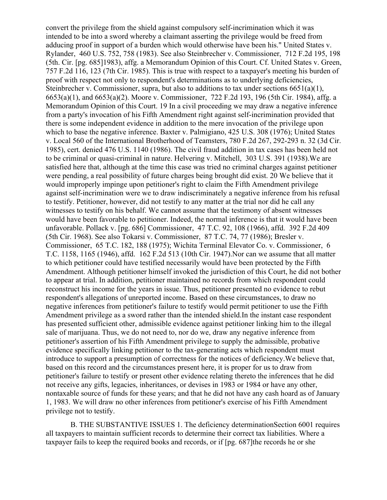convert the privilege from the shield against compulsory self-incrimination which it was intended to be into a sword whereby a claimant asserting the privilege would be freed from adducing proof in support of a burden which would otherwise have been his." United States v. Rylander, 460 U.S. 752, 758 (1983). See also Steinbrecher v. Commissioner, 712 F.2d 195, 198 (5th. Cir. [pg. 685]1983), affg. a Memorandum Opinion of this Court. Cf. United States v. Green, 757 F.2d 116, 123 (7th Cir. 1985). This is true with respect to a taxpayer's meeting his burden of proof with respect not only to respondent's determinations as to underlying deficiencies, Steinbrecher v. Commissioner, supra, but also to additions to tax under sections  $6651(a)(1)$ , 6653(a)(1), and 6653(a)(2). Moore v. Commissioner, 722 F.2d 193, 196 (5th Cir. 1984), affg. a Memorandum Opinion of this Court. 19 In a civil proceeding we may draw a negative inference from a party's invocation of his Fifth Amendment right against self-incrimination provided that there is some independent evidence in addition to the mere invocation of the privilege upon which to base the negative inference. Baxter v. Palmigiano, 425 U.S. 308 (1976); United States v. Local 560 of the International Brotherhood of Teamsters, 780 F.2d 267, 292-293 n. 32 (3d Cir. 1985), cert. denied 476 U.S. 1140 (1986). The civil fraud addition in tax cases has been held not to be criminal or quasi-criminal in nature. Helvering v. Mitchell, 303 U.S. 391 (1938).We are satisfied here that, although at the time this case was tried no criminal charges against petitioner were pending, a real possibility of future charges being brought did exist. 20 We believe that it would improperly impinge upon petitioner's right to claim the Fifth Amendment privilege against self-incrimination were we to draw indiscriminately a negative inference from his refusal to testify. Petitioner, however, did not testify to any matter at the trial nor did he call any witnesses to testify on his behalf. We cannot assume that the testimony of absent witnesses would have been favorable to petitioner. Indeed, the normal inference is that it would have been unfavorable. Pollack v. [pg. 686] Commissioner, 47 T.C. 92, 108 (1966), affd. 392 F.2d 409 (5th Cir. 1968). See also Tokarsi v. Commissioner, 87 T.C. 74, 77 (1986); Bresler v. Commissioner, 65 T.C. 182, 188 (1975); Wichita Terminal Elevator Co. v. Commissioner, 6 T.C. 1158, 1165 (1946), affd. 162 F.2d 513 (10th Cir. 1947).Nor can we assume that all matter to which petitioner could have testified necessarily would have been protected by the Fifth Amendment. Although petitioner himself invoked the jurisdiction of this Court, he did not bother to appear at trial. In addition, petitioner maintained no records from which respondent could reconstruct his income for the years in issue. Thus, petitioner presented no evidence to rebut respondent's allegations of unreported income. Based on these circumstances, to draw no negative inferences from petitioner's failure to testify would permit petitioner to use the Fifth Amendment privilege as a sword rather than the intended shield.In the instant case respondent has presented sufficient other, admissible evidence against petitioner linking him to the illegal sale of marijuana. Thus, we do not need to, nor do we, draw any negative inference from petitioner's assertion of his Fifth Amendment privilege to supply the admissible, probative evidence specifically linking petitioner to the tax-generating acts which respondent must introduce to support a presumption of correctness for the notices of deficiency.We believe that, based on this record and the circumstances present here, it is proper for us to draw from petitioner's failure to testify or present other evidence relating thereto the inferences that he did not receive any gifts, legacies, inheritances, or devises in 1983 or 1984 or have any other, nontaxable source of funds for these years; and that he did not have any cash hoard as of January 1, 1983. We will draw no other inferences from petitioner's exercise of his Fifth Amendment privilege not to testify.

B. THE SUBSTANTIVE ISSUES 1. The deficiency determinationSection 6001 requires all taxpayers to maintain sufficient records to determine their correct tax liabilities. Where a taxpayer fails to keep the required books and records, or if [pg. 687]the records he or she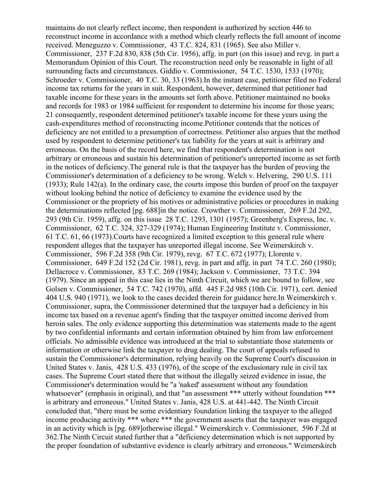maintains do not clearly reflect income, then respondent is authorized by section 446 to reconstruct income in accordance with a method which clearly reflects the full amount of income received. Meneguzzo v. Commissioner, 43 T.C. 824, 831 (1965). See also Miller v. Commissioner, 237 F.2d 830, 838 (5th Cir. 1956), affg. in part (on this issue) and revg. in part a Memorandum Opinion of this Court. The reconstruction need only be reasonable in light of all surrounding facts and circumstances. Giddio v. Commissioner, 54 T.C. 1530, 1533 (1970); Schroeder v. Commissioner, 40 T.C. 30, 33 (1963).In the instant case, petitioner filed no Federal income tax returns for the years in suit. Respondent, however, determined that petitioner had taxable income for these years in the amounts set forth above. Petitioner maintained no books and records for 1983 or 1984 sufficient for respondent to determine his income for those years; 21 consequently, respondent determined petitioner's taxable income for these years using the cash-expenditures method of reconstructing income.Petitioner contends that the notices of deficiency are not entitled to a presumption of correctness. Petitioner also argues that the method used by respondent to determine petitioner's tax liability for the years at suit is arbitrary and erroneous. On the basis of the record here, we find that respondent's determination is not arbitrary or erroneous and sustain his determination of petitioner's unreported income as set forth in the notices of deficiency.The general rule is that the taxpayer has the burden of proving the Commissioner's determination of a deficiency to be wrong. Welch v. Helvering, 290 U.S. 111 (1933); Rule 142(a). In the ordinary case, the courts impose this burden of proof on the taxpayer without looking behind the notice of deficiency to examine the evidence used by the Commissioner or the propriety of his motives or administrative policies or procedures in making the determinations reflected [pg. 688]in the notice. Crowther v. Commissioner, 269 F.2d 292, 293 (9th Cir. 1959), affg. on this issue 28 T.C. 1293, 1301 (1957); Greenberg's Express, Inc. v. Commissioner, 62 T.C. 324, 327-329 (1974); Human Engineering Institute v. Commissioner, 61 T.C. 61, 66 (1973).Courts have recognized a limited exception to this general rule where respondent alleges that the taxpayer has unreported illegal income. See Weimerskirch v. Commissioner, 596 F.2d 358 (9th Cir. 1979), revg. 67 T.C. 672 (1977); Llorente v. Commissioner, 649 F.2d 152 (2d Cir. 1981), revg. in part and affg. in part 74 T.C. 260 (1980); Dellacroce v. Commissioner, 83 T.C. 269 (1984); Jackson v. Commissioner, 73 T.C. 394 (1979). Since an appeal in this case lies in the Ninth Circuit, which we are bound to follow, see Golsen v. Commissioner, 54 T.C. 742 (1970), affd. 445 F.2d 985 (10th Cir. 1971), cert. denied 404 U.S. 940 (1971), we look to the cases decided therein for guidance here.In Weimerskirch v. Commissioner, supra, the Commissioner determined that the taxpayer had a deficiency in his income tax based on a revenue agent's finding that the taxpayer omitted income derived from heroin sales. The only evidence supporting this determination was statements made to the agent by two confidential informants and certain information obtained by him from law enforcement officials. No admissible evidence was introduced at the trial to substantiate those statements or information or otherwise link the taxpayer to drug dealing. The court of appeals refused to sustain the Commissioner's determination, relying heavily on the Supreme Court's discussion in United States v. Janis, 428 U.S. 433 (1976), of the scope of the exclusionary rule in civil tax cases. The Supreme Court stated there that without the illegally seized evidence in issue, the Commissioner's determination would be "a 'naked' assessment without any foundation whatsoever" (emphasis in original), and that "an assessment \*\*\* utterly without foundation \*\*\* is arbitrary and erroneous." United States v. Janis, 428 U.S. at 441-442. The Ninth Circuit concluded that, "there must be some evidentiary foundation linking the taxpayer to the alleged income producing activity \*\*\* where \*\*\* the government asserts that the taxpayer was engaged in an activity which is [pg. 689]otherwise illegal." Weimerskirch v. Commissioner, 596 F.2d at 362.The Ninth Circuit stated further that a "deficiency determination which is not supported by the proper foundation of substantive evidence is clearly arbitrary and erroneous." Weimerskirch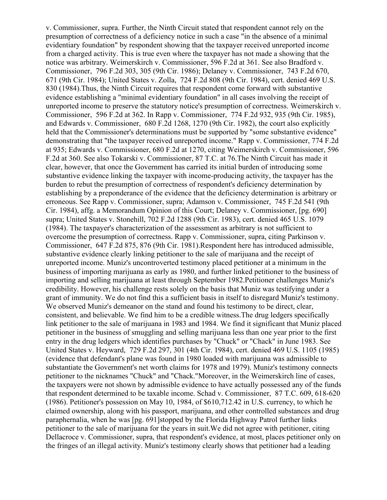v. Commissioner, supra. Further, the Ninth Circuit stated that respondent cannot rely on the presumption of correctness of a deficiency notice in such a case "in the absence of a minimal evidentiary foundation" by respondent showing that the taxpayer received unreported income from a charged activity. This is true even where the taxpayer has not made a showing that the notice was arbitrary. Weimerskirch v. Commissioner, 596 F.2d at 361. See also Bradford v. Commissioner, 796 F.2d 303, 305 (9th Cir. 1986); Delaney v. Commissioner, 743 F.2d 670, 671 (9th Cir. 1984); United States v. Zolla, 724 F.2d 808 (9th Cir. 1984), cert. denied 469 U.S. 830 (1984).Thus, the Ninth Circuit requires that respondent come forward with substantive evidence establishing a "minimal evidentiary foundation" in all cases involving the receipt of unreported income to preserve the statutory notice's presumption of correctness. Weimerskirch v. Commissioner, 596 F.2d at 362. In Rapp v. Commissioner, 774 F.2d 932, 935 (9th Cir. 1985), and Edwards v. Commissioner, 680 F.2d 1268, 1270 (9th Cir. 1982), the court also explicitly held that the Commissioner's determinations must be supported by "some substantive evidence" demonstrating that "the taxpayer received unreported income." Rapp v. Commissioner, 774 F.2d at 935; Edwards v. Commissioner, 680 F.2d at 1270, citing Weimerskirch v. Commissioner, 596 F.2d at 360. See also Tokarski v. Commissioner, 87 T.C. at 76.The Ninth Circuit has made it clear, however, that once the Government has carried its initial burden of introducing some substantive evidence linking the taxpayer with income-producing activity, the taxpayer has the burden to rebut the presumption of correctness of respondent's deficiency determination by establishing by a preponderance of the evidence that the deficiency determination is arbitrary or erroneous. See Rapp v. Commissioner, supra; Adamson v. Commissioner, 745 F.2d 541 (9th Cir. 1984), affg. a Memorandum Opinion of this Court; Delaney v. Commissioner, [pg. 690] supra; United States v. Stonehill, 702 F.2d 1288 (9th Cir. 1983), cert. denied 465 U.S. 1079 (1984). The taxpayer's characterization of the assessment as arbitrary is not sufficient to overcome the presumption of correctness. Rapp v. Commissioner, supra, citing Parkinson v. Commissioner, 647 F.2d 875, 876 (9th Cir. 1981).Respondent here has introduced admissible, substantive evidence clearly linking petitioner to the sale of marijuana and the receipt of unreported income. Muniz's uncontroverted testimony placed petitioner at a minimum in the business of importing marijuana as early as 1980, and further linked petitioner to the business of importing and selling marijuana at least through September 1982.Petitioner challenges Muniz's credibility. However, his challenge rests solely on the basis that Muniz was testifying under a grant of immunity. We do not find this a sufficient basis in itself to disregard Muniz's testimony. We observed Muniz's demeanor on the stand and found his testimony to be direct, clear, consistent, and believable. We find him to be a credible witness.The drug ledgers specifically link petitioner to the sale of marijuana in 1983 and 1984. We find it significant that Muniz placed petitioner in the business of smuggling and selling marijuana less than one year prior to the first entry in the drug ledgers which identifies purchases by "Chuck" or "Chack" in June 1983. See United States v. Heyward, 729 F.2d 297, 301 (4th Cir. 1984), cert. denied 469 U.S. 1105 (1985) (evidence that defendant's plane was found in 1980 loaded with marijuana was admissible to substantiate the Government's net worth claims for 1978 and 1979). Muniz's testimony connects petitioner to the nicknames "Chuck" and "Chack."Moreover, in the Weimerskirch line of cases, the taxpayers were not shown by admissible evidence to have actually possessed any of the funds that respondent determined to be taxable income. Schad v. Commissioner, 87 T.C. 609, 618-620 (1986). Petitioner's possession on May 10, 1984, of \$610,712.42 in U.S. currency, to which he claimed ownership, along with his passport, marijuana, and other controlled substances and drug paraphernalia, when he was [pg. 691]stopped by the Florida Highway Patrol further links petitioner to the sale of marijuana for the years in suit.We did not agree with petitioner, citing Dellacroce v. Commissioner, supra, that respondent's evidence, at most, places petitioner only on the fringes of an illegal activity. Muniz's testimony clearly shows that petitioner had a leading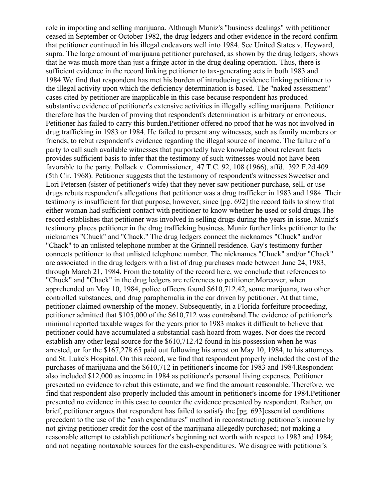role in importing and selling marijuana. Although Muniz's "business dealings" with petitioner ceased in September or October 1982, the drug ledgers and other evidence in the record confirm that petitioner continued in his illegal endeavors well into 1984. See United States v. Heyward, supra. The large amount of marijuana petitioner purchased, as shown by the drug ledgers, shows that he was much more than just a fringe actor in the drug dealing operation. Thus, there is sufficient evidence in the record linking petitioner to tax-generating acts in both 1983 and 1984.We find that respondent has met his burden of introducing evidence linking petitioner to the illegal activity upon which the deficiency determination is based. The "naked assessment" cases cited by petitioner are inapplicable in this case because respondent has produced substantive evidence of petitioner's extensive activities in illegally selling marijuana. Petitioner therefore has the burden of proving that respondent's determination is arbitrary or erroneous. Petitioner has failed to carry this burden.Petitioner offered no proof that he was not involved in drug trafficking in 1983 or 1984. He failed to present any witnesses, such as family members or friends, to rebut respondent's evidence regarding the illegal source of income. The failure of a party to call such available witnesses that purportedly have knowledge about relevant facts provides sufficient basis to infer that the testimony of such witnesses would not have been favorable to the party. Pollack v. Commissioner, 47 T.C. 92, 108 (1966), affd. 392 F.2d 409 (5th Cir. 1968). Petitioner suggests that the testimony of respondent's witnesses Sweetser and Lori Petersen (sister of petitioner's wife) that they never saw petitioner purchase, sell, or use drugs rebuts respondent's allegations that petitioner was a drug trafficker in 1983 and 1984. Their testimony is insufficient for that purpose, however, since [pg. 692] the record fails to show that either woman had sufficient contact with petitioner to know whether he used or sold drugs.The record establishes that petitioner was involved in selling drugs during the years in issue. Muniz's testimony places petitioner in the drug trafficking business. Muniz further links petitioner to the nicknames "Chuck" and "Chack." The drug ledgers connect the nicknames "Chuck" and/or "Chack" to an unlisted telephone number at the Grinnell residence. Gay's testimony further connects petitioner to that unlisted telephone number. The nicknames "Chuck" and/or "Chack" are associated in the drug ledgers with a list of drug purchases made between June 24, 1983, through March 21, 1984. From the totality of the record here, we conclude that references to "Chuck" and "Chack" in the drug ledgers are references to petitioner.Moreover, when apprehended on May 10, 1984, police officers found \$610,712.42, some marijuana, two other controlled substances, and drug paraphernalia in the car driven by petitioner. At that time, petitioner claimed ownership of the money. Subsequently, in a Florida forfeiture proceeding, petitioner admitted that \$105,000 of the \$610,712 was contraband.The evidence of petitioner's minimal reported taxable wages for the years prior to 1983 makes it difficult to believe that petitioner could have accumulated a substantial cash hoard from wages. Nor does the record establish any other legal source for the \$610,712.42 found in his possession when he was arrested, or for the \$167,278.65 paid out following his arrest on May 10, 1984, to his attorneys and St. Luke's Hospital. On this record, we find that respondent properly included the cost of the purchases of marijuana and the \$610,712 in petitioner's income for 1983 and 1984.Respondent also included \$12,000 as income in 1984 as petitioner's personal living expenses. Petitioner presented no evidence to rebut this estimate, and we find the amount reasonable. Therefore, we find that respondent also properly included this amount in petitioner's income for 1984.Petitioner presented no evidence in this case to counter the evidence presented by respondent. Rather, on brief, petitioner argues that respondent has failed to satisfy the [pg. 693]essential conditions precedent to the use of the "cash expenditures" method in reconstructing petitioner's income by not giving petitioner credit for the cost of the marijuana allegedly purchased; not making a reasonable attempt to establish petitioner's beginning net worth with respect to 1983 and 1984; and not negating nontaxable sources for the cash-expenditures. We disagree with petitioner's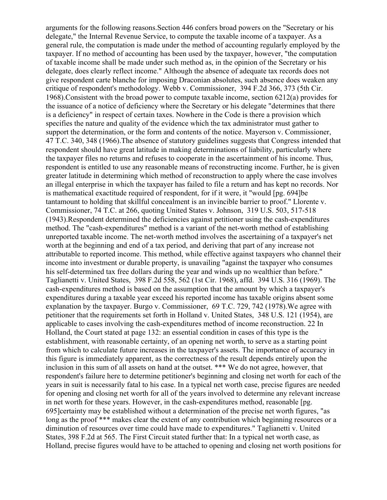arguments for the following reasons.Section 446 confers broad powers on the "Secretary or his delegate," the Internal Revenue Service, to compute the taxable income of a taxpayer. As a general rule, the computation is made under the method of accounting regularly employed by the taxpayer. If no method of accounting has been used by the taxpayer, however, "the computation of taxable income shall be made under such method as, in the opinion of the Secretary or his delegate, does clearly reflect income." Although the absence of adequate tax records does not give respondent carte blanche for imposing Draconian absolutes, such absence does weaken any critique of respondent's methodology. Webb v. Commissioner, 394 F.2d 366, 373 (5th Cir. 1968).Consistent with the broad power to compute taxable income, section 6212(a) provides for the issuance of a notice of deficiency where the Secretary or his delegate "determines that there is a deficiency" in respect of certain taxes. Nowhere in the Code is there a provision which specifies the nature and quality of the evidence which the tax administrator must gather to support the determination, or the form and contents of the notice. Mayerson v. Commissioner, 47 T.C. 340, 348 (1966).The absence of statutory guidelines suggests that Congress intended that respondent should have great latitude in making determinations of liability, particularly where the taxpayer files no returns and refuses to cooperate in the ascertainment of his income. Thus, respondent is entitled to use any reasonable means of reconstructing income. Further, he is given greater latitude in determining which method of reconstruction to apply where the case involves an illegal enterprise in which the taxpayer has failed to file a return and has kept no records. Nor is mathematical exactitude required of respondent, for if it were, it "would [pg. 694]be tantamount to holding that skillful concealment is an invincible barrier to proof." Llorente v. Commissioner, 74 T.C. at 266, quoting United States v. Johnson, 319 U.S. 503, 517-518 (1943).Respondent determined the deficiencies against petitioner using the cash-expenditures method. The "cash-expenditures" method is a variant of the net-worth method of establishing unreported taxable income. The net-worth method involves the ascertaining of a taxpayer's net worth at the beginning and end of a tax period, and deriving that part of any increase not attributable to reported income. This method, while effective against taxpayers who channel their income into investment or durable property, is unavailing "against the taxpayer who consumes his self-determined tax free dollars during the year and winds up no wealthier than before." Taglianetti v. United States, 398 F.2d 558, 562 (1st Cir. 1968), affd. 394 U.S. 316 (1969). The cash-expenditures method is based on the assumption that the amount by which a taxpayer's expenditures during a taxable year exceed his reported income has taxable origins absent some explanation by the taxpayer. Burgo v. Commissioner, 69 T.C. 729, 742 (1978).We agree with petitioner that the requirements set forth in Holland v. United States, 348 U.S. 121 (1954), are applicable to cases involving the cash-expenditures method of income reconstruction. 22 In Holland, the Court stated at page 132: an essential condition in cases of this type is the establishment, with reasonable certainty, of an opening net worth, to serve as a starting point from which to calculate future increases in the taxpayer's assets. The importance of accuracy in this figure is immediately apparent, as the correctness of the result depends entirely upon the inclusion in this sum of all assets on hand at the outset. \*\*\* We do not agree, however, that respondent's failure here to determine petitioner's beginning and closing net worth for each of the years in suit is necessarily fatal to his case. In a typical net worth case, precise figures are needed for opening and closing net worth for all of the years involved to determine any relevant increase in net worth for these years. However, in the cash-expenditures method, reasonable [pg. 695]certainty may be established without a determination of the precise net worth figures, "as long as the proof \*\*\* makes clear the extent of any contribution which beginning resources or a diminution of resources over time could have made to expenditures." Taglianetti v. United States, 398 F.2d at 565. The First Circuit stated further that: In a typical net worth case, as Holland, precise figures would have to be attached to opening and closing net worth positions for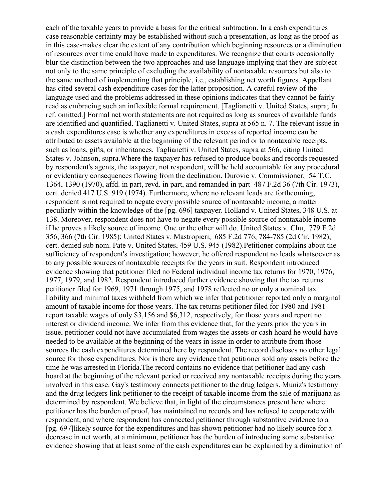each of the taxable years to provide a basis for the critical subtraction. In a cash expenditures case reasonable certainty may be established without such a presentation, as long as the proof-as in this case-makes clear the extent of any contribution which beginning resources or a diminution of resources over time could have made to expenditures. We recognize that courts occasionally blur the distinction between the two approaches and use language implying that they are subject not only to the same principle of excluding the availability of nontaxable resources but also to the same method of implementing that principle, i.e., establishing net worth figures. Appellant has cited several cash expenditure cases for the latter proposition. A careful review of the language used and the problems addressed in these opinions indicates that they cannot be fairly read as embracing such an inflexible formal requirement. [Taglianetti v. United States, supra; fn. ref. omitted.] Formal net worth statements are not required as long as sources of available funds are identified and quantified. Taglianetti v. United States, supra at 565 n. 7. The relevant issue in a cash expenditures case is whether any expenditures in excess of reported income can be attributed to assets available at the beginning of the relevant period or to nontaxable receipts, such as loans, gifts, or inheritances. Taglianetti v. United States, supra at 566, citing United States v. Johnson, supra.Where the taxpayer has refused to produce books and records requested by respondent's agents, the taxpayer, not respondent, will be held accountable for any procedural or evidentiary consequences flowing from the declination. Durovic v. Commissioner, 54 T.C. 1364, 1390 (1970), affd. in part, revd. in part, and remanded in part 487 F.2d 36 (7th Cir. 1973), cert. denied 417 U.S. 919 (1974). Furthermore, where no relevant leads are forthcoming, respondent is not required to negate every possible source of nontaxable income, a matter peculiarly within the knowledge of the [pg. 696] taxpayer. Holland v. United States, 348 U.S. at 138. Moreover, respondent does not have to negate every possible source of nontaxable income if he proves a likely source of income. One or the other will do. United States v. Chu, 779 F.2d 356, 366 (7th Cir. 1985); United States v. Mastropieri, 685 F.2d 776, 784-785 (2d Cir. 1982), cert. denied sub nom. Pate v. United States, 459 U.S. 945 (1982).Petitioner complains about the sufficiency of respondent's investigation; however, he offered respondent no leads whatsoever as to any possible sources of nontaxable receipts for the years in suit. Respondent introduced evidence showing that petitioner filed no Federal individual income tax returns for 1970, 1976, 1977, 1979, and 1982. Respondent introduced further evidence showing that the tax returns petitioner filed for 1969, 1971 through 1975, and 1978 reflected no or only a nominal tax liability and minimal taxes withheld from which we infer that petitioner reported only a marginal amount of taxable income for those years. The tax returns petitioner filed for 1980 and 1981 report taxable wages of only \$3,156 and \$6,312, respectively, for those years and report no interest or dividend income. We infer from this evidence that, for the years prior the years in issue, petitioner could not have accumulated from wages the assets or cash hoard he would have needed to be available at the beginning of the years in issue in order to attribute from those sources the cash expenditures determined here by respondent. The record discloses no other legal source for those expenditures. Nor is there any evidence that petitioner sold any assets before the time he was arrested in Florida.The record contains no evidence that petitioner had any cash hoard at the beginning of the relevant period or received any nontaxable receipts during the years involved in this case. Gay's testimony connects petitioner to the drug ledgers. Muniz's testimony and the drug ledgers link petitioner to the receipt of taxable income from the sale of marijuana as determined by respondent. We believe that, in light of the circumstances present here where petitioner has the burden of proof, has maintained no records and has refused to cooperate with respondent, and where respondent has connected petitioner through substantive evidence to a [pg. 697]likely source for the expenditures and has shown petitioner had no likely source for a decrease in net worth, at a minimum, petitioner has the burden of introducing some substantive evidence showing that at least some of the cash expenditures can be explained by a diminution of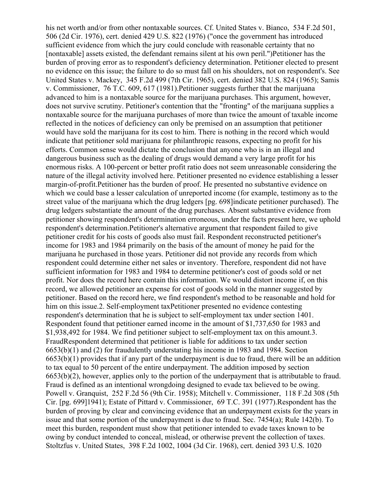his net worth and/or from other nontaxable sources. Cf. United States v. Bianco, 534 F.2d 501, 506 (2d Cir. 1976), cert. denied 429 U.S. 822 (1976) ("once the government has introduced sufficient evidence from which the jury could conclude with reasonable certainty that no [nontaxable] assets existed, the defendant remains silent at his own peril.")Petitioner has the burden of proving error as to respondent's deficiency determination. Petitioner elected to present no evidence on this issue; the failure to do so must fall on his shoulders, not on respondent's. See United States v. Mackey, 345 F.2d 499 (7th Cir. 1965), cert. denied 382 U.S. 824 (1965); Samis v. Commissioner, 76 T.C. 609, 617 (1981).Petitioner suggests further that the marijuana advanced to him is a nontaxable source for the marijuana purchases. This argument, however, does not survive scrutiny. Petitioner's contention that the "fronting" of the marijuana supplies a nontaxable source for the marijuana purchases of more than twice the amount of taxable income reflected in the notices of deficiency can only be premised on an assumption that petitioner would have sold the marijuana for its cost to him. There is nothing in the record which would indicate that petitioner sold marijuana for philanthropic reasons, expecting no profit for his efforts. Common sense would dictate the conclusion that anyone who is in an illegal and dangerous business such as the dealing of drugs would demand a very large profit for his enormous risks. A 100-percent or better profit ratio does not seem unreasonable considering the nature of the illegal activity involved here. Petitioner presented no evidence establishing a lesser margin-of-profit.Petitioner has the burden of proof. He presented no substantive evidence on which we could base a lesser calculation of unreported income (for example, testimony as to the street value of the marijuana which the drug ledgers [pg. 698]indicate petitioner purchased). The drug ledgers substantiate the amount of the drug purchases. Absent substantive evidence from petitioner showing respondent's determination erroneous, under the facts present here, we uphold respondent's determination.Petitioner's alternative argument that respondent failed to give petitioner credit for his costs of goods also must fail. Respondent reconstructed petitioner's income for 1983 and 1984 primarily on the basis of the amount of money he paid for the marijuana he purchased in those years. Petitioner did not provide any records from which respondent could determine either net sales or inventory. Therefore, respondent did not have sufficient information for 1983 and 1984 to determine petitioner's cost of goods sold or net profit. Nor does the record here contain this information. We would distort income if, on this record, we allowed petitioner an expense for cost of goods sold in the manner suggested by petitioner. Based on the record here, we find respondent's method to be reasonable and hold for him on this issue.2. Self-employment taxPetitioner presented no evidence contesting respondent's determination that he is subject to self-employment tax under section 1401. Respondent found that petitioner earned income in the amount of \$1,737,650 for 1983 and \$1,938,492 for 1984. We find petitioner subject to self-employment tax on this amount.3. FraudRespondent determined that petitioner is liable for additions to tax under section 6653(b)(1) and (2) for fraudulently understating his income in 1983 and 1984. Section 6653(b)(1) provides that if any part of the underpayment is due to fraud, there will be an addition to tax equal to 50 percent of the entire underpayment. The addition imposed by section 6653(b)(2), however, applies only to the portion of the underpayment that is attributable to fraud. Fraud is defined as an intentional wrongdoing designed to evade tax believed to be owing. Powell v. Granquist, 252 F.2d 56 (9th Cir. 1958); Mitchell v. Commissioner, 118 F.2d 308 (5th Cir. [pg. 699]1941); Estate of Pittard v. Commissioner, 69 T.C. 391 (1977).Respondent has the burden of proving by clear and convincing evidence that an underpayment exists for the years in issue and that some portion of the underpayment is due to fraud. Sec. 7454(a); Rule 142(b). To meet this burden, respondent must show that petitioner intended to evade taxes known to be owing by conduct intended to conceal, mislead, or otherwise prevent the collection of taxes. Stoltzfus v. United States, 398 F.2d 1002, 1004 (3d Cir. 1968), cert. denied 393 U.S. 1020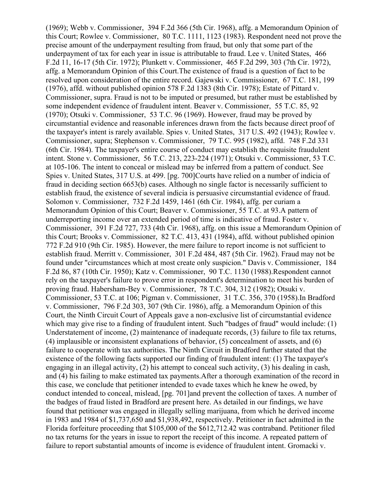(1969); Webb v. Commissioner, 394 F.2d 366 (5th Cir. 1968), affg. a Memorandum Opinion of this Court; Rowlee v. Commissioner, 80 T.C. 1111, 1123 (1983). Respondent need not prove the precise amount of the underpayment resulting from fraud, but only that some part of the underpayment of tax for each year in issue is attributable to fraud. Lee v. United States, 466 F.2d 11, 16-17 (5th Cir. 1972); Plunkett v. Commissioner, 465 F.2d 299, 303 (7th Cir. 1972), affg. a Memorandum Opinion of this Court.The existence of fraud is a question of fact to be resolved upon consideration of the entire record. Gajewski v. Commissioner, 67 T.C. 181, 199 (1976), affd. without published opinion 578 F.2d 1383 (8th Cir. 1978); Estate of Pittard v. Commissioner, supra. Fraud is not to be imputed or presumed, but rather must be established by some independent evidence of fraudulent intent. Beaver v. Commissioner, 55 T.C. 85, 92 (1970); Otsuki v. Commissioner, 53 T.C. 96 (1969). However, fraud may be proved by circumstantial evidence and reasonable inferences drawn from the facts because direct proof of the taxpayer's intent is rarely available. Spies v. United States, 317 U.S. 492 (1943); Rowlee v. Commissioner, supra; Stephenson v. Commissioner, 79 T.C. 995 (1982), affd. 748 F.2d 331 (6th Cir. 1984). The taxpayer's entire course of conduct may establish the requisite fraudulent intent. Stone v. Commissioner, 56 T.C. 213, 223-224 (1971); Otsuki v. Commissioner, 53 T.C. at 105-106. The intent to conceal or mislead may be inferred from a pattern of conduct. See Spies v. United States, 317 U.S. at 499. [pg. 700]Courts have relied on a number of indicia of fraud in deciding section 6653(b) cases. Although no single factor is necessarily sufficient to establish fraud, the existence of several indicia is persuasive circumstantial evidence of fraud. Solomon v. Commissioner, 732 F.2d 1459, 1461 (6th Cir. 1984), affg. per curiam a Memorandum Opinion of this Court; Beaver v. Commissioner, 55 T.C. at 93.A pattern of underreporting income over an extended period of time is indicative of fraud. Foster v. Commissioner, 391 F.2d 727, 733 (4th Cir. 1968), affg. on this issue a Memorandum Opinion of this Court; Brooks v. Commissioner, 82 T.C. 413, 431 (1984), affd. without published opinion 772 F.2d 910 (9th Cir. 1985). However, the mere failure to report income is not sufficient to establish fraud. Merritt v. Commissioner, 301 F.2d 484, 487 (5th Cir. 1962). Fraud may not be found under "circumstances which at most create only suspicion." Davis v. Commissioner, 184 F.2d 86, 87 (10th Cir. 1950); Katz v. Commissioner, 90 T.C. 1130 (1988).Respondent cannot rely on the taxpayer's failure to prove error in respondent's determination to meet his burden of proving fraud. Habersham-Bey v. Commissioner, 78 T.C. 304, 312 (1982); Otsuki v. Commissioner, 53 T.C. at 106; Pigman v. Commissioner, 31 T.C. 356, 370 (1958).In Bradford v. Commissioner, 796 F.2d 303, 307 (9th Cir. 1986), affg. a Memorandum Opinion of this Court, the Ninth Circuit Court of Appeals gave a non-exclusive list of circumstantial evidence which may give rise to a finding of fraudulent intent. Such "badges of fraud" would include: (1) Understatement of income, (2) maintenance of inadequate records, (3) failure to file tax returns, (4) implausible or inconsistent explanations of behavior, (5) concealment of assets, and (6) failure to cooperate with tax authorities. The Ninth Circuit in Bradford further stated that the existence of the following facts supported our finding of fraudulent intent: (1) The taxpayer's engaging in an illegal activity, (2) his attempt to conceal such activity, (3) his dealing in cash, and (4) his failing to make estimated tax payments.After a thorough examination of the record in this case, we conclude that petitioner intended to evade taxes which he knew he owed, by conduct intended to conceal, mislead, [pg. 701]and prevent the collection of taxes. A number of the badges of fraud listed in Bradford are present here. As detailed in our findings, we have found that petitioner was engaged in illegally selling marijuana, from which he derived income in 1983 and 1984 of \$1,737,650 and \$1,938,492, respectively. Petitioner in fact admitted in the Florida forfeiture proceeding that \$105,000 of the \$612,712.42 was contraband. Petitioner filed no tax returns for the years in issue to report the receipt of this income. A repeated pattern of failure to report substantial amounts of income is evidence of fraudulent intent. Gromacki v.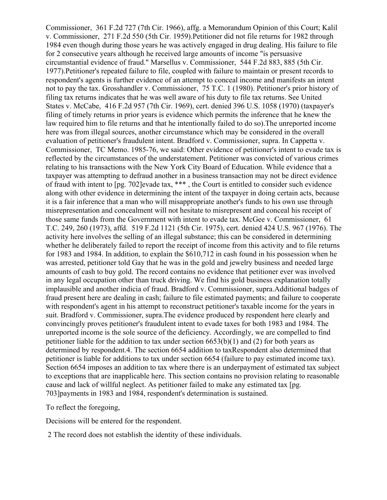Commissioner, 361 F.2d 727 (7th Cir. 1966), affg. a Memorandum Opinion of this Court; Kalil v. Commissioner, 271 F.2d 550 (5th Cir. 1959).Petitioner did not file returns for 1982 through 1984 even though during those years he was actively engaged in drug dealing. His failure to file for 2 consecutive years although he received large amounts of income "is persuasive circumstantial evidence of fraud." Marsellus v. Commissioner, 544 F.2d 883, 885 (5th Cir. 1977).Petitioner's repeated failure to file, coupled with failure to maintain or present records to respondent's agents is further evidence of an attempt to conceal income and manifests an intent not to pay the tax. Grosshandler v. Commissioner, 75 T.C. 1 (1980). Petitioner's prior history of filing tax returns indicates that he was well aware of his duty to file tax returns. See United States v. McCabe, 416 F.2d 957 (7th Cir. 1969), cert. denied 396 U.S. 1058 (1970) (taxpayer's filing of timely returns in prior years is evidence which permits the inference that he knew the law required him to file returns and that he intentionally failed to do so).The unreported income here was from illegal sources, another circumstance which may be considered in the overall evaluation of petitioner's fraudulent intent. Bradford v. Commissioner, supra. In Cappetta v. Commissioner, TC Memo. 1985-76, we said: Other evidence of petitioner's intent to evade tax is reflected by the circumstances of the understatement. Petitioner was convicted of various crimes relating to his transactions with the New York City Board of Education. While evidence that a taxpayer was attempting to defraud another in a business transaction may not be direct evidence of fraud with intent to [pg. 702]evade tax, \*\*\* , the Court is entitled to consider such evidence along with other evidence in determining the intent of the taxpayer in doing certain acts, because it is a fair inference that a man who will misappropriate another's funds to his own use through misrepresentation and concealment will not hesitate to misrepresent and conceal his receipt of those same funds from the Government with intent to evade tax. McGee v. Commissioner, 61 T.C. 249, 260 (1973), affd. 519 F.2d 1121 (5th Cir. 1975), cert. denied 424 U.S. 967 (1976). The activity here involves the selling of an illegal substance; this can be considered in determining whether he deliberately failed to report the receipt of income from this activity and to file returns for 1983 and 1984. In addition, to explain the \$610,712 in cash found in his possession when he was arrested, petitioner told Gay that he was in the gold and jewelry business and needed large amounts of cash to buy gold. The record contains no evidence that petitioner ever was involved in any legal occupation other than truck driving. We find his gold business explanation totally implausible and another indicia of fraud. Bradford v. Commissioner, supra.Additional badges of fraud present here are dealing in cash; failure to file estimated payments; and failure to cooperate with respondent's agent in his attempt to reconstruct petitioner's taxable income for the years in suit. Bradford v. Commissioner, supra.The evidence produced by respondent here clearly and convincingly proves petitioner's fraudulent intent to evade taxes for both 1983 and 1984. The unreported income is the sole source of the deficiency. Accordingly, we are compelled to find petitioner liable for the addition to tax under section  $6653(b)(1)$  and (2) for both years as determined by respondent.4. The section 6654 addition to taxRespondent also determined that petitioner is liable for additions to tax under section 6654 (failure to pay estimated income tax). Section 6654 imposes an addition to tax where there is an underpayment of estimated tax subject to exceptions that are inapplicable here. This section contains no provision relating to reasonable cause and lack of willful neglect. As petitioner failed to make any estimated tax [pg. 703]payments in 1983 and 1984, respondent's determination is sustained.

To reflect the foregoing,

Decisions will be entered for the respondent.

2 The record does not establish the identity of these individuals.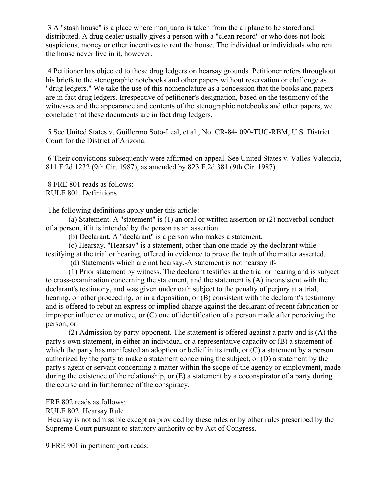3 A "stash house" is a place where marijuana is taken from the airplane to be stored and distributed. A drug dealer usually gives a person with a "clean record" or who does not look suspicious, money or other incentives to rent the house. The individual or individuals who rent the house never live in it, however.

4 Petitioner has objected to these drug ledgers on hearsay grounds. Petitioner refers throughout his briefs to the stenographic notebooks and other papers without reservation or challenge as "drug ledgers." We take the use of this nomenclature as a concession that the books and papers are in fact drug ledgers. Irrespective of petitioner's designation, based on the testimony of the witnesses and the appearance and contents of the stenographic notebooks and other papers, we conclude that these documents are in fact drug ledgers.

5 See United States v. Guillermo Soto-Leal, et al., No. CR-84- 090-TUC-RBM, U.S. District Court for the District of Arizona.

6 Their convictions subsequently were affirmed on appeal. See United States v. Valles-Valencia, 811 F.2d 1232 (9th Cir. 1987), as amended by 823 F.2d 381 (9th Cir. 1987).

8 FRE 801 reads as follows: RULE 801. Definitions

The following definitions apply under this article:

(a) Statement. A "statement" is (1) an oral or written assertion or (2) nonverbal conduct of a person, if it is intended by the person as an assertion.

(b) Declarant. A "declarant" is a person who makes a statement.

(c) Hearsay. "Hearsay" is a statement, other than one made by the declarant while testifying at the trial or hearing, offered in evidence to prove the truth of the matter asserted.

(d) Statements which are not hearsay.-A statement is not hearsay if-

(1) Prior statement by witness. The declarant testifies at the trial or hearing and is subject to cross-examination concerning the statement, and the statement is (A) inconsistent with the declarant's testimony, and was given under oath subject to the penalty of perjury at a trial, hearing, or other proceeding, or in a deposition, or (B) consistent with the declarant's testimony and is offered to rebut an express or implied charge against the declarant of recent fabrication or improper influence or motive, or (C) one of identification of a person made after perceiving the person; or

(2) Admission by party-opponent. The statement is offered against a party and is (A) the party's own statement, in either an individual or a representative capacity or (B) a statement of which the party has manifested an adoption or belief in its truth, or  $(C)$  a statement by a person authorized by the party to make a statement concerning the subject, or (D) a statement by the party's agent or servant concerning a matter within the scope of the agency or employment, made during the existence of the relationship, or (E) a statement by a coconspirator of a party during the course and in furtherance of the conspiracy.

FRE 802 reads as follows:

RULE 802. Hearsay Rule

Hearsay is not admissible except as provided by these rules or by other rules prescribed by the Supreme Court pursuant to statutory authority or by Act of Congress.

9 FRE 901 in pertinent part reads: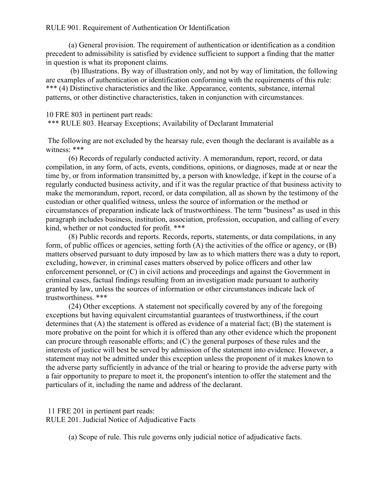## RULE 901. Requirement of Authentication Or Identification

(a) General provision. The requirement of authentication or identification as a condition precedent to admissibility is satisfied by evidence sufficient to support a finding that the matter in question is what its proponent claims.

(b) Illustrations. By way of illustration only, and not by way of limitation, the following are examples of authentication or identification conforming with the requirements of this rule: \*\*\* (4) Distinctive characteristics and the like. Appearance, contents, substance, internal patterns, or other distinctive characteristics, taken in conjunction with circumstances.

10 FRE 803 in pertinent part reads:

\*\*\* RULE 803. Hearsay Exceptions; Availability of Declarant Immaterial

The following are not excluded by the hearsay rule, even though the declarant is available as a witness: \*\*\*

(6) Records of regularly conducted activity. A memorandum, report, record, or data compilation, in any form, of acts, events, conditions, opinions, or diagnoses, made at or near the time by, or from information transmitted by, a person with knowledge, if kept in the course of a regularly conducted business activity, and if it was the regular practice of that business activity to make the memorandum, report, record, or data compilation, all as shown by the testimony of the custodian or other qualified witness, unless the source of information or the method or circumstances of preparation indicate lack of trustworthiness. The term "business" as used in this paragraph includes business, institution, association, profession, occupation, and calling of every kind, whether or not conducted for profit. \*\*\*

(8) Public records and reports. Records, reports, statements, or data compilations, in any form, of public offices or agencies, setting forth (A) the activities of the office or agency, or (B) matters observed pursuant to duty imposed by law as to which matters there was a duty to report, excluding, however, in criminal cases matters observed by police officers and other law enforcement personnel, or (C) in civil actions and proceedings and against the Government in criminal cases, factual findings resulting from an investigation made pursuant to authority granted by law, unless the sources of information or other circumstances indicate lack of trustworthiness. \*\*\*

(24) Other exceptions. A statement not specifically covered by any of the foregoing exceptions but having equivalent circumstantial guarantees of trustworthiness, if the court determines that (A) the statement is offered as evidence of a material fact; (B) the statement is more probative on the point for which it is offered than any other evidence which the proponent can procure through reasonable efforts; and (C) the general purposes of these rules and the interests of justice will best be served by admission of the statement into evidence. However, a statement may not be admitted under this exception unless the proponent of it makes known to the adverse party sufficiently in advance of the trial or hearing to provide the adverse party with a fair opportunity to prepare to meet it, the proponent's intention to offer the statement and the particulars of it, including the name and address of the declarant.

11 FRE 201 in pertinent part reads: RULE 201. Judicial Notice of Adjudicative Facts

(a) Scope of rule. This rule governs only judicial notice of adjudicative facts.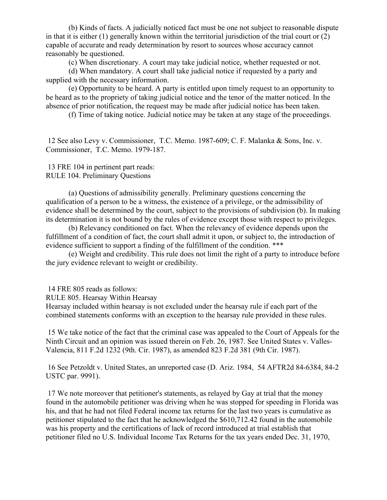(b) Kinds of facts. A judicially noticed fact must be one not subject to reasonable dispute in that it is either (1) generally known within the territorial jurisdiction of the trial court or (2) capable of accurate and ready determination by resort to sources whose accuracy cannot reasonably be questioned.

(c) When discretionary. A court may take judicial notice, whether requested or not.

(d) When mandatory. A court shall take judicial notice if requested by a party and supplied with the necessary information.

(e) Opportunity to be heard. A party is entitled upon timely request to an opportunity to be heard as to the propriety of taking judicial notice and the tenor of the matter noticed. In the absence of prior notification, the request may be made after judicial notice has been taken.

(f) Time of taking notice. Judicial notice may be taken at any stage of the proceedings.

12 See also Levy v. Commissioner, T.C. Memo. 1987-609; C. F. Malanka & Sons, Inc. v. Commissioner, T.C. Memo. 1979-187.

13 FRE 104 in pertinent part reads: RULE 104. Preliminary Questions

(a) Questions of admissibility generally. Preliminary questions concerning the qualification of a person to be a witness, the existence of a privilege, or the admissibility of evidence shall be determined by the court, subject to the provisions of subdivision (b). In making its determination it is not bound by the rules of evidence except those with respect to privileges.

(b) Relevancy conditioned on fact. When the relevancy of evidence depends upon the fulfillment of a condition of fact, the court shall admit it upon, or subject to, the introduction of evidence sufficient to support a finding of the fulfillment of the condition. \*\*\*

(e) Weight and credibility. This rule does not limit the right of a party to introduce before the jury evidence relevant to weight or credibility.

14 FRE 805 reads as follows:

RULE 805. Hearsay Within Hearsay

Hearsay included within hearsay is not excluded under the hearsay rule if each part of the combined statements conforms with an exception to the hearsay rule provided in these rules.

15 We take notice of the fact that the criminal case was appealed to the Court of Appeals for the Ninth Circuit and an opinion was issued therein on Feb. 26, 1987. See United States v. Valles-Valencia, 811 F.2d 1232 (9th. Cir. 1987), as amended 823 F.2d 381 (9th Cir. 1987).

16 See Petzoldt v. United States, an unreported case (D. Ariz. 1984, 54 AFTR2d 84-6384, 84-2 USTC par. 9991).

17 We note moreover that petitioner's statements, as relayed by Gay at trial that the money found in the automobile petitioner was driving when he was stopped for speeding in Florida was his, and that he had not filed Federal income tax returns for the last two years is cumulative as petitioner stipulated to the fact that he acknowledged the \$610,712.42 found in the automobile was his property and the certifications of lack of record introduced at trial establish that petitioner filed no U.S. Individual Income Tax Returns for the tax years ended Dec. 31, 1970,